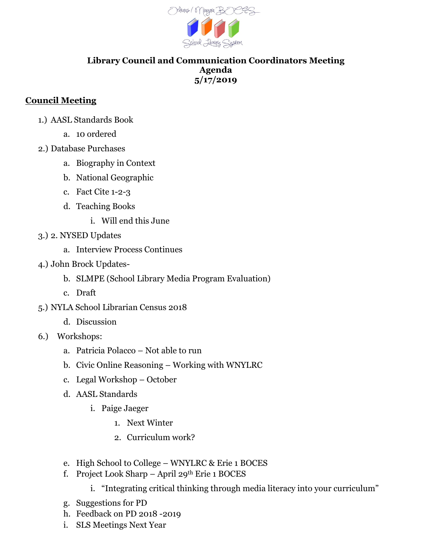

## **Library Council and Communication Coordinators Meeting Agenda 5/17/2019**

## **Council Meeting**

- 1.) AASL Standards Book
	- a. 10 ordered
- 2.) Database Purchases
	- a. Biography in Context
	- b. National Geographic
	- c. Fact Cite 1-2-3
	- d. Teaching Books
		- i. Will end this June
- 3.) 2. NYSED Updates
	- a. Interview Process Continues
- 4.) John Brock Updates
	- b. SLMPE (School Library Media Program Evaluation)
	- c. Draft
- 5.) NYLA School Librarian Census 2018
	- d. Discussion
- 6.) Workshops:
	- a. Patricia Polacco Not able to run
	- b. Civic Online Reasoning Working with WNYLRC
	- c. Legal Workshop October
	- d. AASL Standards
		- i. Paige Jaeger
			- 1. Next Winter
			- 2. Curriculum work?
	- e. High School to College WNYLRC & Erie 1 BOCES
	- f. Project Look Sharp April 29th Erie 1 BOCES
		- i. "Integrating critical thinking through media literacy into your curriculum"
	- g. Suggestions for PD
	- h. Feedback on PD 2018 -2019
	- i. SLS Meetings Next Year